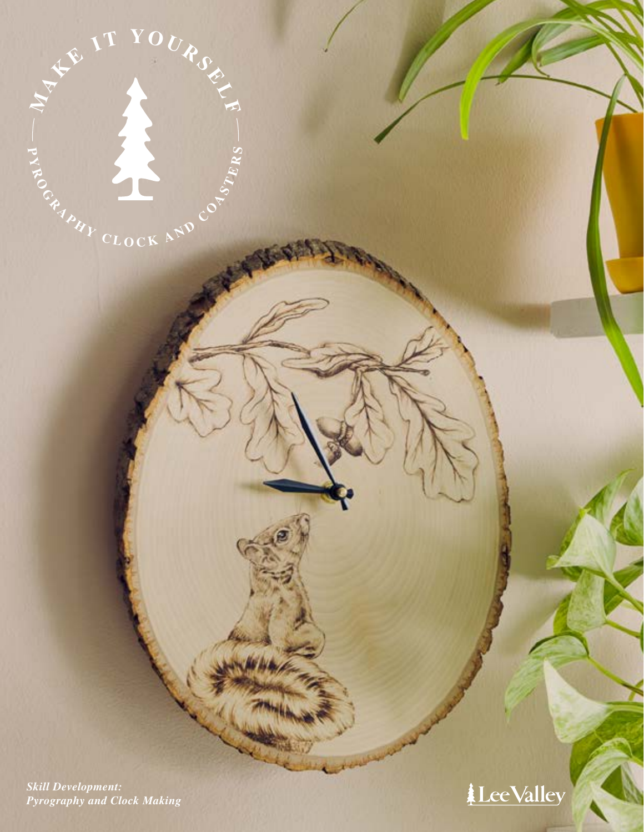

*Skill Development: Pyrography and Clock Making* **Lee Valley**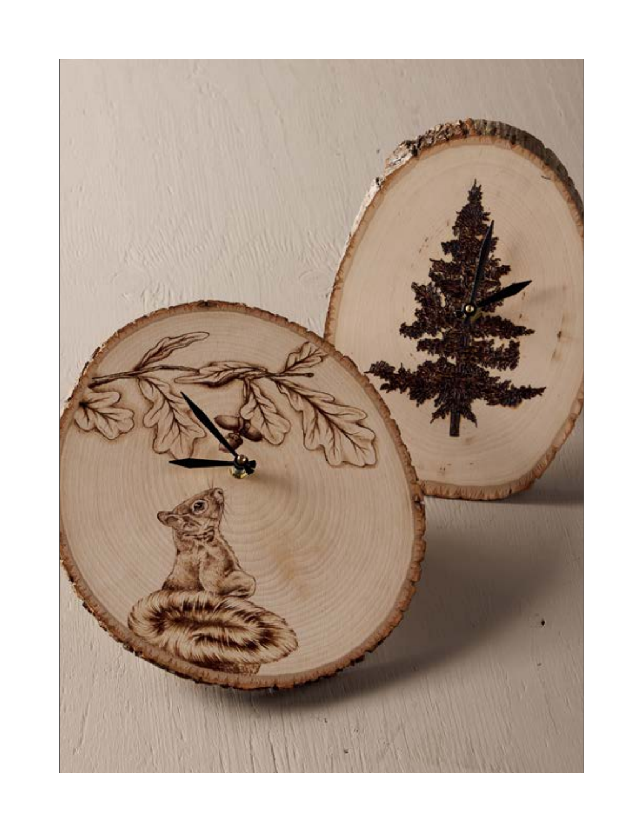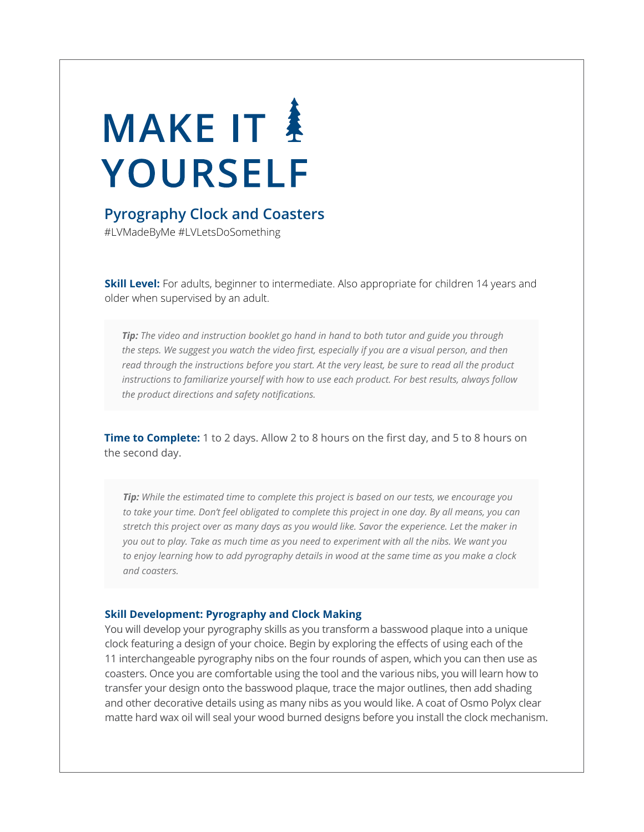# MAKE IT & **YOURSELF**

#### **Pyrography Clock and Coasters**

#LVMadeByMe #LVLetsDoSomething

**Skill Level:** For adults, beginner to intermediate. Also appropriate for children 14 years and older when supervised by an adult.

*Tip: The video and instruction booklet go hand in hand to both tutor and guide you through the steps. We suggest you watch the video first, especially if you are a visual person, and then read through the instructions before you start. At the very least, be sure to read all the product instructions to familiarize yourself with how to use each product. For best results, always follow the product directions and safety notifications.*

**Time to Complete:** 1 to 2 days. Allow 2 to 8 hours on the first day, and 5 to 8 hours on the second day.

*Tip: While the estimated time to complete this project is based on our tests, we encourage you to take your time. Don't feel obligated to complete this project in one day. By all means, you can stretch this project over as many days as you would like. Savor the experience. Let the maker in you out to play. Take as much time as you need to experiment with all the nibs. We want you to enjoy learning how to add pyrography details in wood at the same time as you make a clock and coasters.*

#### **Skill Development: Pyrography and Clock Making**

You will develop your pyrography skills as you transform a basswood plaque into a unique clock featuring a design of your choice. Begin by exploring the effects of using each of the 11 interchangeable pyrography nibs on the four rounds of aspen, which you can then use as coasters. Once you are comfortable using the tool and the various nibs, you will learn how to transfer your design onto the basswood plaque, trace the major outlines, then add shading and other decorative details using as many nibs as you would like. A coat of Osmo Polyx clear matte hard wax oil will seal your wood burned designs before you install the clock mechanism.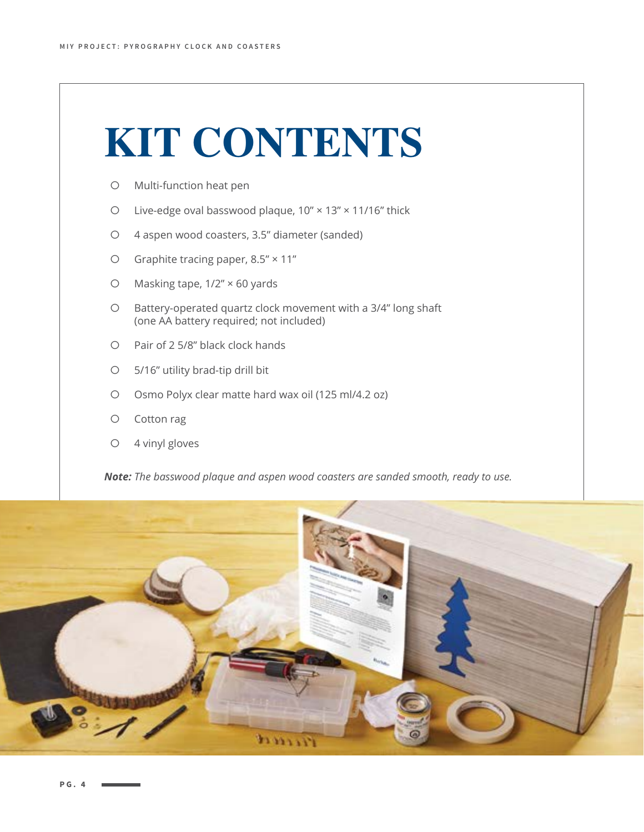# **KIT CONTENTS**

- O Multi-function heat pen
- O Live-edge oval basswood plaque,  $10'' \times 13'' \times 11/16''$  thick
- O 4 aspen wood coasters, 3.5" diameter (sanded)
- O Graphite tracing paper, 8.5" × 11"
- O Masking tape, 1/2" × 60 yards
- O Battery-operated quartz clock movement with a 3/4" long shaft (one AA battery required; not included)
- O Pair of 2 5/8" black clock hands
- O 5/16" utility brad-tip drill bit
- O Osmo Polyx clear matte hard wax oil (125 ml/4.2 oz)
- O Cotton rag
- O 4 vinyl gloves

*Note: The basswood plaque and aspen wood coasters are sanded smooth, ready to use.*

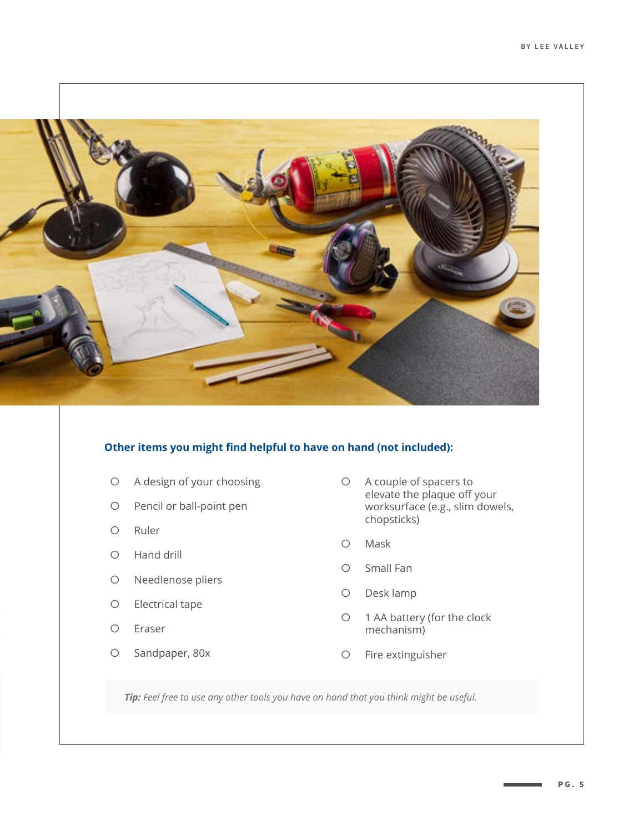

#### **Other items you might find helpful to have on hand (not included):**

- O A design of your choosing
- O Pencil or ball-point pen
- O Ruler
- O Hand drill
- O Needlenose pliers
- O Electrical tape
- O Eraser
- O Sandpaper, 80x
- O A couple of spacers to elevate the plaque off your worksurface (e.g., slim dowels, chopsticks)
- O Mask
- O Small Fan
- O Desk lamp
- O 1 AA battery (for the clock mechanism)
- O Fire extinguisher

*Tip: Feel free to use any other tools you have on hand that you think might be useful.*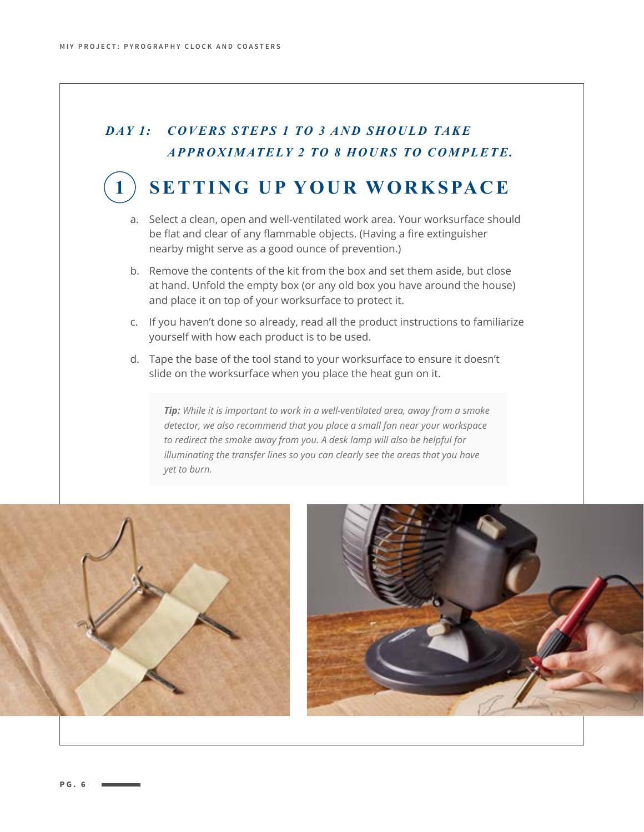#### *D AY 1: COVERS STEPS 1 TO 3 AND SHOULD TAKE APPROXIMATELY 2 TO 8 HOURS TO COMPLETE.*

#### **1 SETTING UP YOUR WORKSPACE**

- a. Select a clean, open and well-ventilated work area. Your worksurface should be flat and clear of any flammable objects. (Having a fire extinguisher nearby might serve as a good ounce of prevention.)
- b. Remove the contents of the kit from the box and set them aside, but close at hand. Unfold the empty box (or any old box you have around the house) and place it on top of your worksurface to protect it.
- c. If you haven't done so already, read all the product instructions to familiarize yourself with how each product is to be used.
- d. Tape the base of the tool stand to your worksurface to ensure it doesn't slide on the worksurface when you place the heat gun on it.

*Tip: While it is important to work in a well-ventilated area, away from a smoke detector, we also recommend that you place a small fan near your workspace to redirect the smoke away from you. A desk lamp will also be helpful for illuminating the transfer lines so you can clearly see the areas that you have yet to burn.*



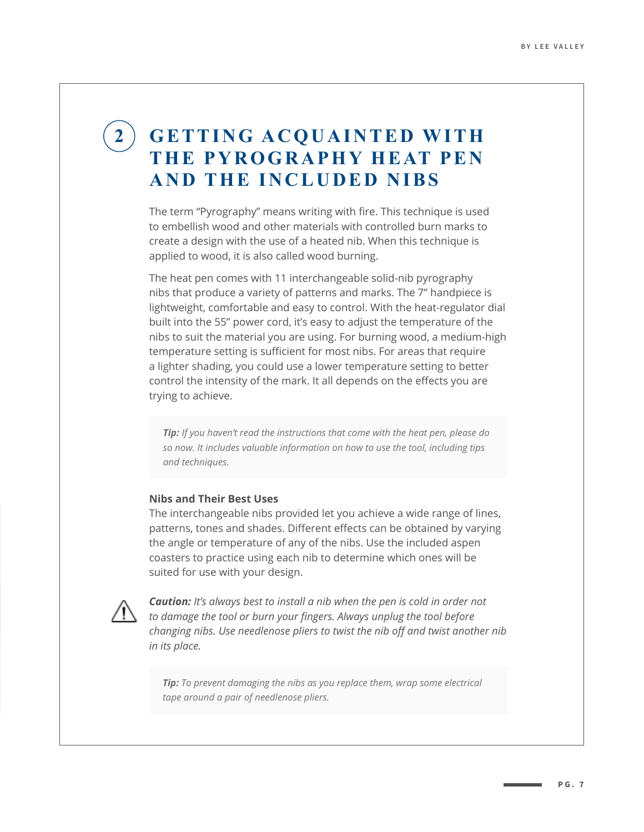#### **2 GETTING ACQUAINTED WITH THE PYROGRAPHY HEAT PEN AND THE INCLUDED NIBS**

The term "Pyrography" means writing with fire. This technique is used to embellish wood and other materials with controlled burn marks to create a design with the use of a heated nib. When this technique is applied to wood, it is also called wood burning.

The heat pen comes with 11 interchangeable solid-nib pyrography nibs that produce a variety of patterns and marks. The 7" handpiece is lightweight, comfortable and easy to control. With the heat-regulator dial built into the 55" power cord, it's easy to adjust the temperature of the nibs to suit the material you are using. For burning wood, a medium-high temperature setting is sufficient for most nibs. For areas that require a lighter shading, you could use a lower temperature setting to better control the intensity of the mark. It all depends on the effects you are trying to achieve.

*Tip: If you haven't read the instructions that come with the heat pen, please do so now. It includes valuable information on how to use the tool, including tips and techniques.*

#### **Nibs and Their Best Uses**

The interchangeable nibs provided let you achieve a wide range of lines, patterns, tones and shades. Different effects can be obtained by varying the angle or temperature of any of the nibs. Use the included aspen coasters to practice using each nib to determine which ones will be suited for use with your design.



*Caution: It's always best to install a nib when the pen is cold in order not to damage the tool or burn your fingers. Always unplug the tool before changing nibs. Use needlenose pliers to twist the nib off and twist another nib in its place.*

*Tip: To prevent damaging the nibs as you replace them, wrap some electrical tape around a pair of needlenose pliers.*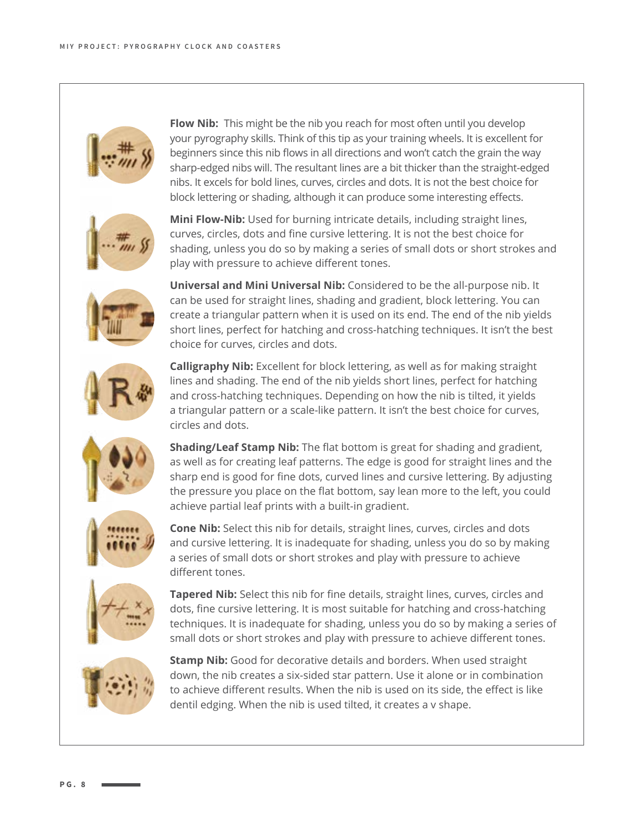

**Flow Nib:** This might be the nib you reach for most often until you develop your pyrography skills. Think of this tip as your training wheels. It is excellent for beginners since this nib flows in all directions and won't catch the grain the way sharp-edged nibs will. The resultant lines are a bit thicker than the straight-edged nibs. It excels for bold lines, curves, circles and dots. It is not the best choice for block lettering or shading, although it can produce some interesting effects.



**Mini Flow-Nib:** Used for burning intricate details, including straight lines, curves, circles, dots and fine cursive lettering. It is not the best choice for shading, unless you do so by making a series of small dots or short strokes and play with pressure to achieve different tones.



**Universal and Mini Universal Nib:** Considered to be the all-purpose nib. It can be used for straight lines, shading and gradient, block lettering. You can create a triangular pattern when it is used on its end. The end of the nib yields short lines, perfect for hatching and cross-hatching techniques. It isn't the best choice for curves, circles and dots.



**Calligraphy Nib:** Excellent for block lettering, as well as for making straight lines and shading. The end of the nib yields short lines, perfect for hatching and cross-hatching techniques. Depending on how the nib is tilted, it yields a triangular pattern or a scale-like pattern. It isn't the best choice for curves, circles and dots.



**Shading/Leaf Stamp Nib:** The flat bottom is great for shading and gradient, as well as for creating leaf patterns. The edge is good for straight lines and the sharp end is good for fine dots, curved lines and cursive lettering. By adjusting the pressure you place on the flat bottom, say lean more to the left, you could achieve partial leaf prints with a built-in gradient.



**Cone Nib:** Select this nib for details, straight lines, curves, circles and dots and cursive lettering. It is inadequate for shading, unless you do so by making a series of small dots or short strokes and play with pressure to achieve different tones.



**Tapered Nib:** Select this nib for fine details, straight lines, curves, circles and dots, fine cursive lettering. It is most suitable for hatching and cross-hatching techniques. It is inadequate for shading, unless you do so by making a series of small dots or short strokes and play with pressure to achieve different tones.



**Stamp Nib:** Good for decorative details and borders. When used straight down, the nib creates a six-sided star pattern. Use it alone or in combination to achieve different results. When the nib is used on its side, the effect is like dentil edging. When the nib is used tilted, it creates a v shape.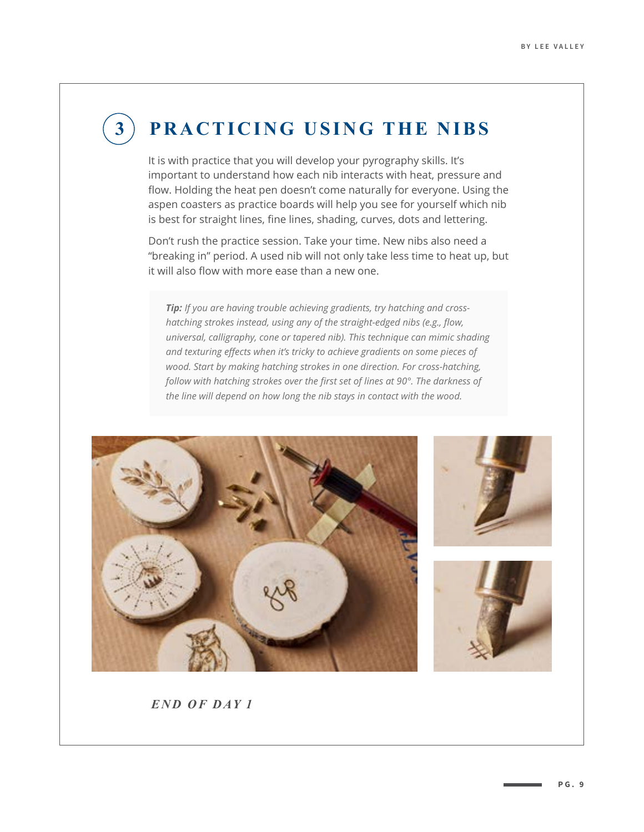#### **PRACTICING USING THE NIBS**

**3** 

It is with practice that you will develop your pyrography skills. It's important to understand how each nib interacts with heat, pressure and flow. Holding the heat pen doesn't come naturally for everyone. Using the aspen coasters as practice boards will help you see for yourself which nib is best for straight lines, fine lines, shading, curves, dots and lettering.

Don't rush the practice session. Take your time. New nibs also need a "breaking in" period. A used nib will not only take less time to heat up, but it will also flow with more ease than a new one.

*Tip: If you are having trouble achieving gradients, try hatching and crosshatching strokes instead, using any of the straight-edged nibs (e.g., flow, universal, calligraphy, cone or tapered nib). This technique can mimic shading and texturing effects when it's tricky to achieve gradients on some pieces of wood. Start by making hatching strokes in one direction. For cross-hatching, follow with hatching strokes over the first set of lines at 90°. The darkness of the line will depend on how long the nib stays in contact with the wood.*







*END OF DAY 1*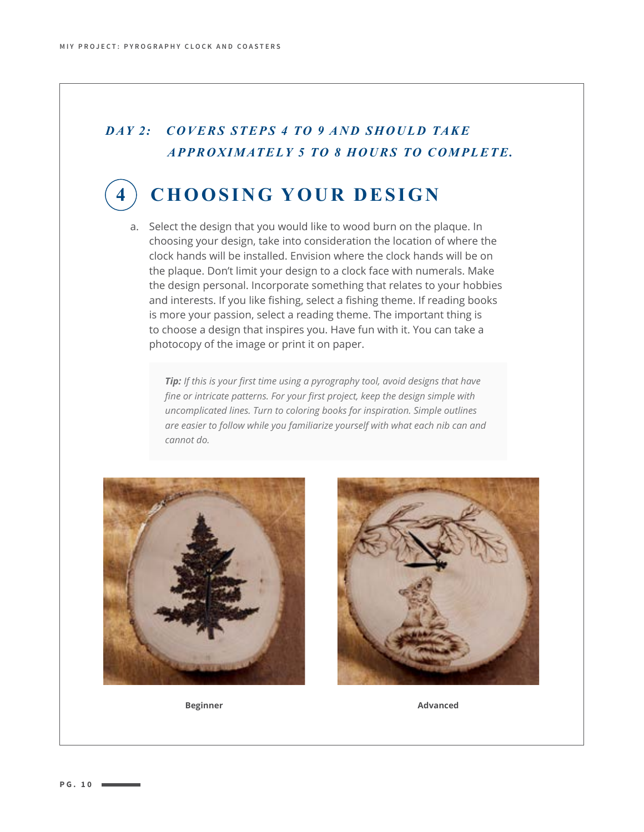**4** 

#### *D AY 2: COVERS STEPS 4 TO 9 AND SHOULD TAKE APPROXIMATELY 5 TO 8 HOURS TO COMPLETE.*

## **CHOOSING YOUR DESIGN**

a. Select the design that you would like to wood burn on the plaque. In choosing your design, take into consideration the location of where the clock hands will be installed. Envision where the clock hands will be on the plaque. Don't limit your design to a clock face with numerals. Make the design personal. Incorporate something that relates to your hobbies and interests. If you like fishing, select a fishing theme. If reading books is more your passion, select a reading theme. The important thing is to choose a design that inspires you. Have fun with it. You can take a photocopy of the image or print it on paper.

*Tip: If this is your first time using a pyrography tool, avoid designs that have fine or intricate patterns. For your first project, keep the design simple with uncomplicated lines. Turn to coloring books for inspiration. Simple outlines are easier to follow while you familiarize yourself with what each nib can and cannot do.*



**Beginner Advanced**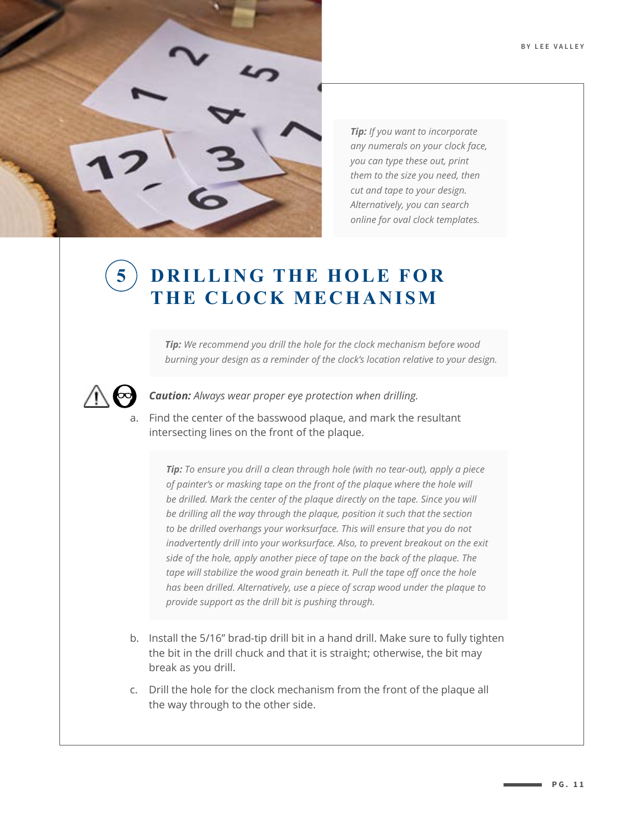

*Tip: If you want to incorporate any numerals on your clock face, you can type these out, print them to the size you need, then cut and tape to your design. Alternatively, you can search online for oval clock templates.*

# **5 DRILLING THE HOLE FOR THE CLOCK MECHANISM**

*Tip: We recommend you drill the hole for the clock mechanism before wood burning your design as a reminder of the clock's location relative to your design.*



*Caution: Always wear proper eye protection when drilling.*

a. Find the center of the basswood plaque, and mark the resultant intersecting lines on the front of the plaque.

> *Tip: To ensure you drill a clean through hole (with no tear-out), apply a piece of painter's or masking tape on the front of the plaque where the hole will be drilled. Mark the center of the plaque directly on the tape. Since you will be drilling all the way through the plaque, position it such that the section to be drilled overhangs your worksurface. This will ensure that you do not inadvertently drill into your worksurface. Also, to prevent breakout on the exit side of the hole, apply another piece of tape on the back of the plaque. The tape will stabilize the wood grain beneath it. Pull the tape off once the hole has been drilled. Alternatively, use a piece of scrap wood under the plaque to provide support as the drill bit is pushing through.*

- b. Install the 5/16" brad-tip drill bit in a hand drill. Make sure to fully tighten the bit in the drill chuck and that it is straight; otherwise, the bit may break as you drill.
- c. Drill the hole for the clock mechanism from the front of the plaque all the way through to the other side.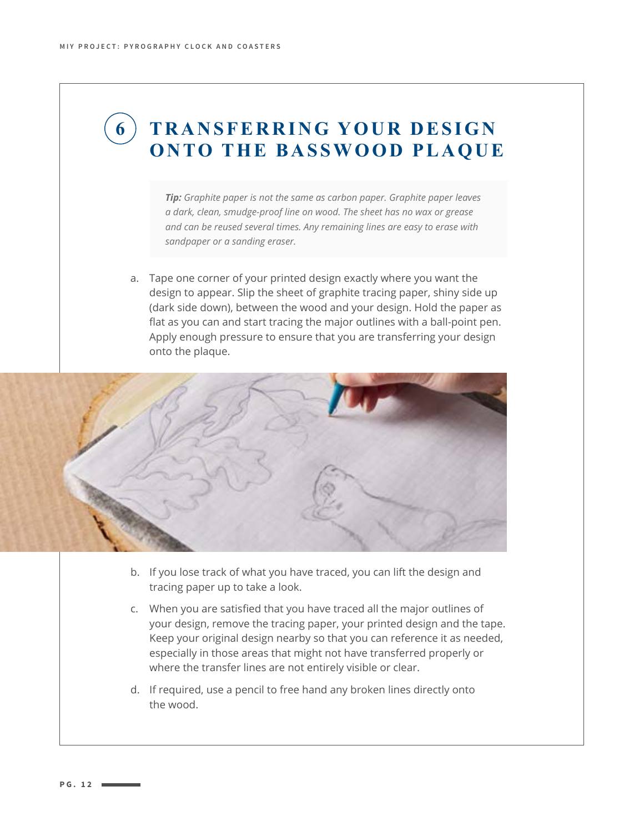### **6 TRANSFERRING YOUR DESIGN ONTO THE BASSWOOD PLAQUE**

*Tip: Graphite paper is not the same as carbon paper. Graphite paper leaves a dark, clean, smudge-proof line on wood. The sheet has no wax or grease and can be reused several times. Any remaining lines are easy to erase with sandpaper or a sanding eraser.*

a. Tape one corner of your printed design exactly where you want the design to appear. Slip the sheet of graphite tracing paper, shiny side up (dark side down), between the wood and your design. Hold the paper as flat as you can and start tracing the major outlines with a ball-point pen. Apply enough pressure to ensure that you are transferring your design onto the plaque.



- b. If you lose track of what you have traced, you can lift the design and tracing paper up to take a look.
- c. When you are satisfied that you have traced all the major outlines of your design, remove the tracing paper, your printed design and the tape. Keep your original design nearby so that you can reference it as needed, especially in those areas that might not have transferred properly or where the transfer lines are not entirely visible or clear.
- d. If required, use a pencil to free hand any broken lines directly onto the wood.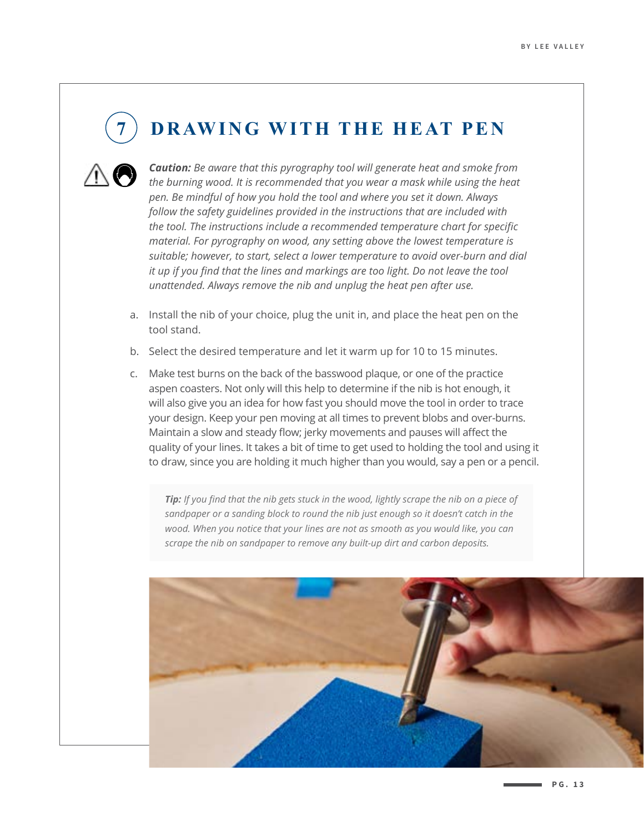# **7 DRAWING WITH THE HEAT PEN**



*Caution: Be aware that this pyrography tool will generate heat and smoke from the burning wood. It is recommended that you wear a mask while using the heat pen. Be mindful of how you hold the tool and where you set it down. Always follow the safety guidelines provided in the instructions that are included with the tool. The instructions include a recommended temperature chart for specific material. For pyrography on wood, any setting above the lowest temperature is suitable; however, to start, select a lower temperature to avoid over-burn and dial it up if you find that the lines and markings are too light. Do not leave the tool unattended. Always remove the nib and unplug the heat pen after use.*

- a. Install the nib of your choice, plug the unit in, and place the heat pen on the tool stand.
- b. Select the desired temperature and let it warm up for 10 to 15 minutes.
- c. Make test burns on the back of the basswood plaque, or one of the practice aspen coasters. Not only will this help to determine if the nib is hot enough, it will also give you an idea for how fast you should move the tool in order to trace your design. Keep your pen moving at all times to prevent blobs and over-burns. Maintain a slow and steady flow; jerky movements and pauses will affect the quality of your lines. It takes a bit of time to get used to holding the tool and using it to draw, since you are holding it much higher than you would, say a pen or a pencil.

*Tip: If you find that the nib gets stuck in the wood, lightly scrape the nib on a piece of sandpaper or a sanding block to round the nib just enough so it doesn't catch in the wood. When you notice that your lines are not as smooth as you would like, you can scrape the nib on sandpaper to remove any built-up dirt and carbon deposits.*

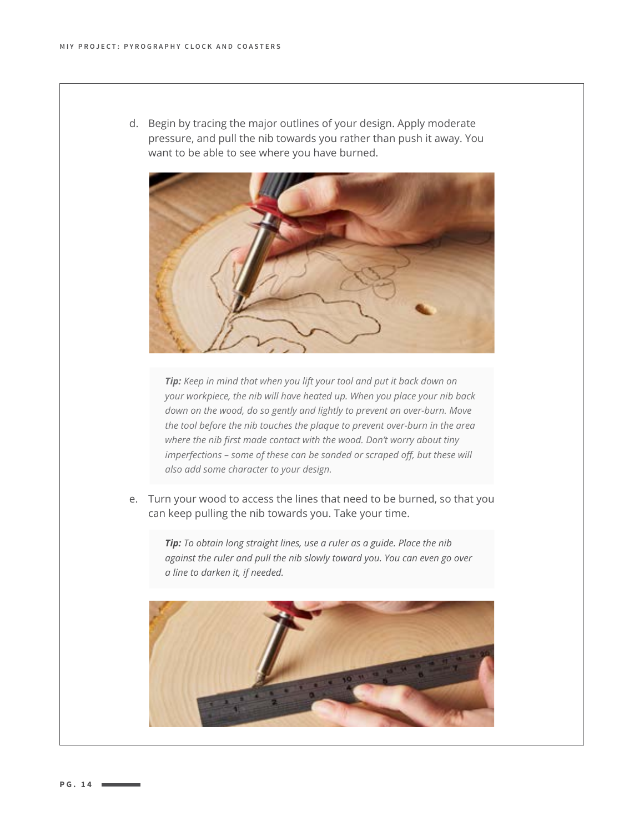d. Begin by tracing the major outlines of your design. Apply moderate pressure, and pull the nib towards you rather than push it away. You want to be able to see where you have burned.



*Tip: Keep in mind that when you lift your tool and put it back down on your workpiece, the nib will have heated up. When you place your nib back down on the wood, do so gently and lightly to prevent an over-burn. Move the tool before the nib touches the plaque to prevent over-burn in the area where the nib first made contact with the wood. Don't worry about tiny imperfections – some of these can be sanded or scraped off, but these will also add some character to your design.*

e. Turn your wood to access the lines that need to be burned, so that you can keep pulling the nib towards you. Take your time.

*Tip: To obtain long straight lines, use a ruler as a guide. Place the nib against the ruler and pull the nib slowly toward you. You can even go over a line to darken it, if needed.*

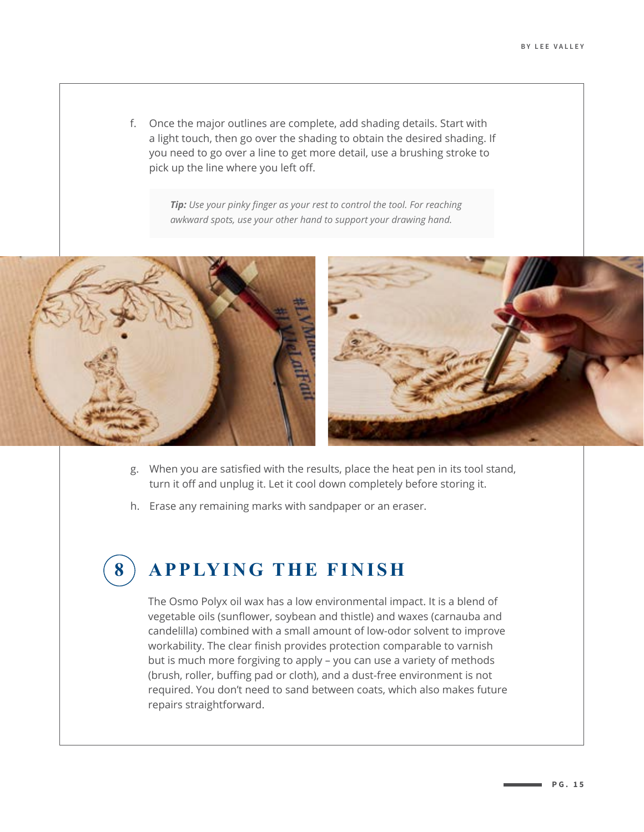f. Once the major outlines are complete, add shading details. Start with a light touch, then go over the shading to obtain the desired shading. If you need to go over a line to get more detail, use a brushing stroke to pick up the line where you left off.

> *Tip: Use your pinky finger as your rest to control the tool. For reaching awkward spots, use your other hand to support your drawing hand.*



- g. When you are satisfied with the results, place the heat pen in its tool stand, turn it off and unplug it. Let it cool down completely before storing it.
- h. Erase any remaining marks with sandpaper or an eraser.

# **8 APPLYING THE FINISH**

The Osmo Polyx oil wax has a low environmental impact. It is a blend of vegetable oils (sunflower, soybean and thistle) and waxes (carnauba and candelilla) combined with a small amount of low-odor solvent to improve workability. The clear finish provides protection comparable to varnish but is much more forgiving to apply – you can use a variety of methods (brush, roller, buffing pad or cloth), and a dust-free environment is not required. You don't need to sand between coats, which also makes future repairs straightforward.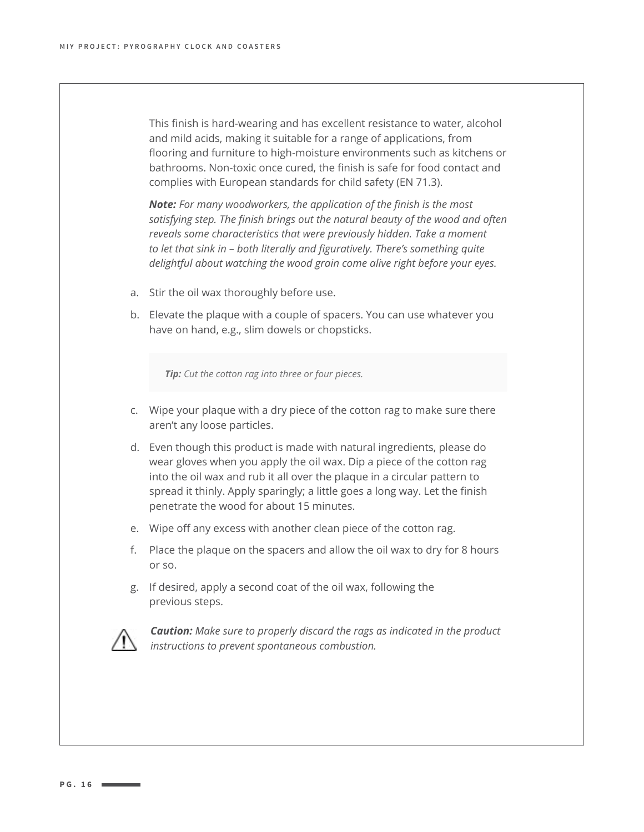This finish is hard-wearing and has excellent resistance to water, alcohol and mild acids, making it suitable for a range of applications, from flooring and furniture to high-moisture environments such as kitchens or bathrooms. Non-toxic once cured, the finish is safe for food contact and complies with European standards for child safety (EN 71.3).

*Note: For many woodworkers, the application of the finish is the most satisfying step. The finish brings out the natural beauty of the wood and often reveals some characteristics that were previously hidden. Take a moment to let that sink in – both literally and figuratively. There's something quite delightful about watching the wood grain come alive right before your eyes.*

- a. Stir the oil wax thoroughly before use.
- b. Elevate the plaque with a couple of spacers. You can use whatever you have on hand, e.g., slim dowels or chopsticks.

*Tip: Cut the cotton rag into three or four pieces.*

- c. Wipe your plaque with a dry piece of the cotton rag to make sure there aren't any loose particles.
- d. Even though this product is made with natural ingredients, please do wear gloves when you apply the oil wax. Dip a piece of the cotton rag into the oil wax and rub it all over the plaque in a circular pattern to spread it thinly. Apply sparingly; a little goes a long way. Let the finish penetrate the wood for about 15 minutes.
- e. Wipe off any excess with another clean piece of the cotton rag.
- f. Place the plaque on the spacers and allow the oil wax to dry for 8 hours or so.
- g. If desired, apply a second coat of the oil wax, following the previous steps.



*Caution: Make sure to properly discard the rags as indicated in the product instructions to prevent spontaneous combustion.*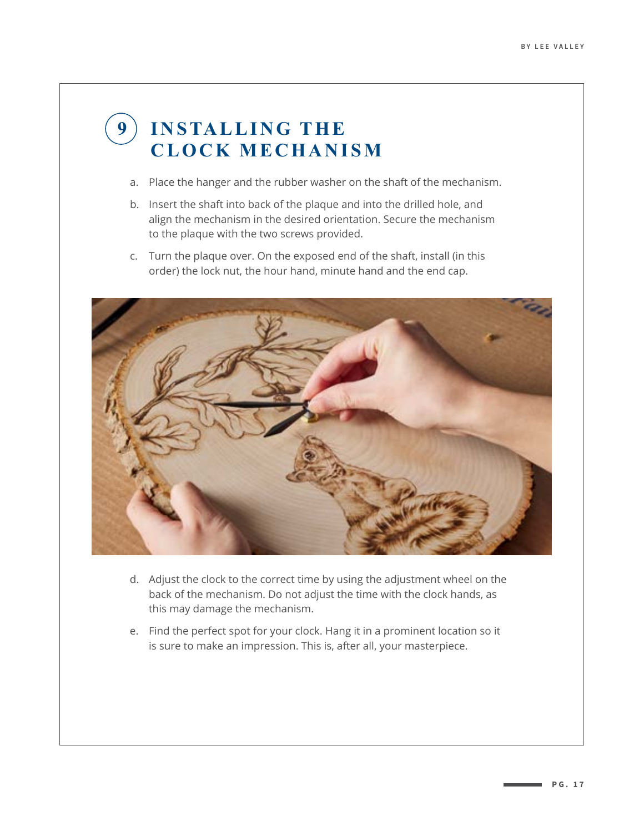### **9 INSTALLING THE CLOCK MECHANISM**

- a. Place the hanger and the rubber washer on the shaft of the mechanism.
- b. Insert the shaft into back of the plaque and into the drilled hole, and align the mechanism in the desired orientation. Secure the mechanism to the plaque with the two screws provided.
- c. Turn the plaque over. On the exposed end of the shaft, install (in this order) the lock nut, the hour hand, minute hand and the end cap.



- d. Adjust the clock to the correct time by using the adjustment wheel on the back of the mechanism. Do not adjust the time with the clock hands, as this may damage the mechanism.
- e. Find the perfect spot for your clock. Hang it in a prominent location so it is sure to make an impression. This is, after all, your masterpiece.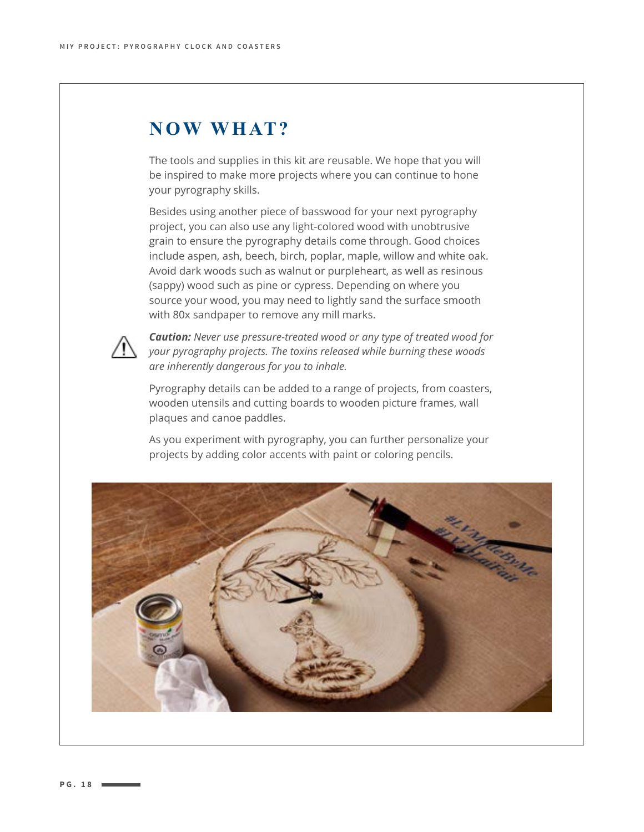#### **NOW WHAT?**

The tools and supplies in this kit are reusable. We hope that you will be inspired to make more projects where you can continue to hone your pyrography skills.

Besides using another piece of basswood for your next pyrography project, you can also use any light-colored wood with unobtrusive grain to ensure the pyrography details come through. Good choices include aspen, ash, beech, birch, poplar, maple, willow and white oak. Avoid dark woods such as walnut or purpleheart, as well as resinous (sappy) wood such as pine or cypress. Depending on where you source your wood, you may need to lightly sand the surface smooth with 80x sandpaper to remove any mill marks.



*Caution: Never use pressure-treated wood or any type of treated wood for your pyrography projects. The toxins released while burning these woods are inherently dangerous for you to inhale.*

Pyrography details can be added to a range of projects, from coasters, wooden utensils and cutting boards to wooden picture frames, wall plaques and canoe paddles.

As you experiment with pyrography, you can further personalize your projects by adding color accents with paint or coloring pencils.

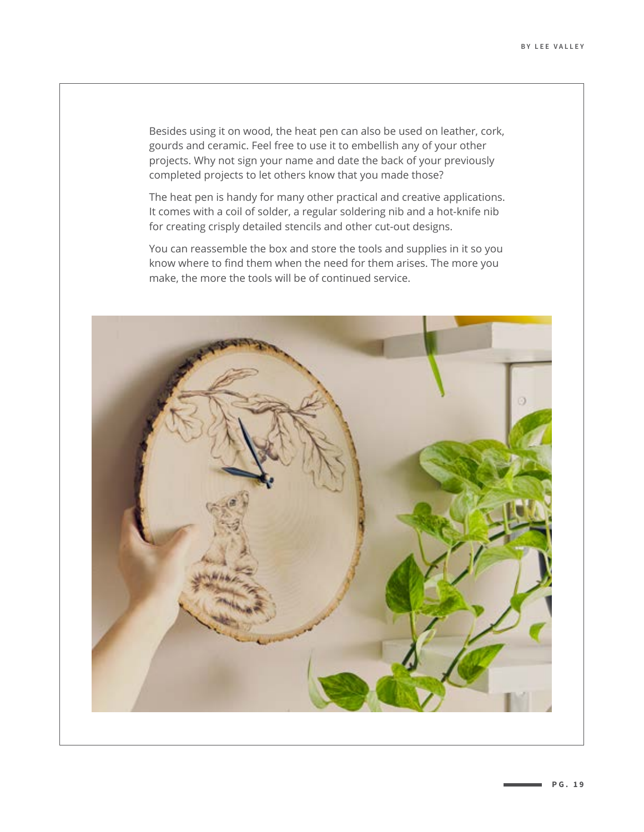Besides using it on wood, the heat pen can also be used on leather, cork, gourds and ceramic. Feel free to use it to embellish any of your other projects. Why not sign your name and date the back of your previously completed projects to let others know that you made those?

The heat pen is handy for many other practical and creative applications. It comes with a coil of solder, a regular soldering nib and a hot-knife nib for creating crisply detailed stencils and other cut-out designs.

You can reassemble the box and store the tools and supplies in it so you know where to find them when the need for them arises. The more you make, the more the tools will be of continued service.